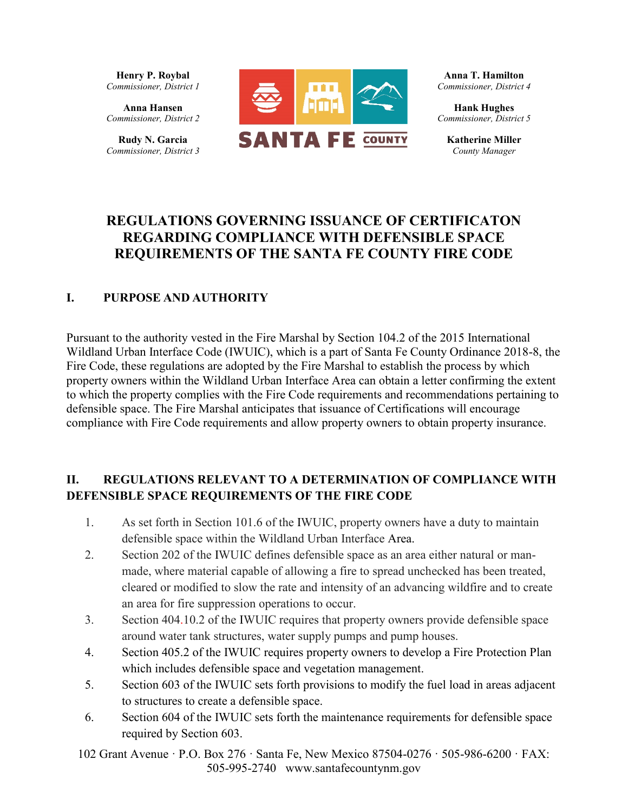**Henry P. Roybal** *Commissioner, District 1*

**Anna Hansen** *Commissioner, District 2*

**Rudy N. Garcia**  *Commissioner, District 3*



**Anna T. Hamilton** *Commissioner, District 4*

**Hank Hughes** *Commissioner, District 5*

**Katherine Miller**  *County Manager*

# **REGULATIONS GOVERNING ISSUANCE OF CERTIFICATON REGARDING COMPLIANCE WITH DEFENSIBLE SPACE REQUIREMENTS OF THE SANTA FE COUNTY FIRE CODE**

#### **I. PURPOSE AND AUTHORITY**

Pursuant to the authority vested in the Fire Marshal by Section 104.2 of the 2015 International Wildland Urban Interface Code (IWUIC), which is a part of Santa Fe County Ordinance 2018-8, the Fire Code, these regulations are adopted by the Fire Marshal to establish the process by which property owners within the Wildland Urban Interface Area can obtain a letter confirming the extent to which the property complies with the Fire Code requirements and recommendations pertaining to defensible space. The Fire Marshal anticipates that issuance of Certifications will encourage compliance with Fire Code requirements and allow property owners to obtain property insurance.

#### **II. REGULATIONS RELEVANT TO A DETERMINATION OF COMPLIANCE WITH DEFENSIBLE SPACE REQUIREMENTS OF THE FIRE CODE**

- 1. As set forth in Section 101.6 of the IWUIC, property owners have a duty to maintain defensible space within the Wildland Urban Interface Area.
- 2. Section 202 of the IWUIC defines defensible space as an area either natural or manmade, where material capable of allowing a fire to spread unchecked has been treated, cleared or modified to slow the rate and intensity of an advancing wildfire and to create an area for fire suppression operations to occur.
- 3. Section 404.10.2 of the IWUIC requires that property owners provide defensible space around water tank structures, water supply pumps and pump houses.
- 4. Section 405.2 of the IWUIC requires property owners to develop a Fire Protection Plan which includes defensible space and vegetation management.
- 5. Section 603 of the IWUIC sets forth provisions to modify the fuel load in areas adjacent to structures to create a defensible space.
- 6. Section 604 of the IWUIC sets forth the maintenance requirements for defensible space required by Section 603.

102 Grant Avenue · P.O. Box 276 · Santa Fe, New Mexico 87504-0276 · 505-986-6200 · FAX: 505-995-2740 www.santafecountynm.gov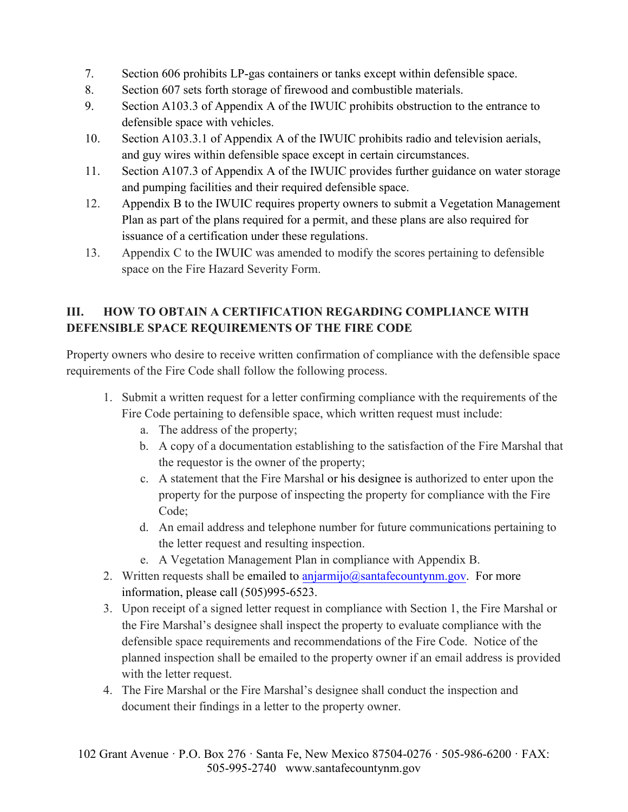- 7. Section 606 prohibits LP-gas containers or tanks except within defensible space.
- 8. Section 607 sets forth storage of firewood and combustible materials.
- 9. Section A103.3 of Appendix A of the IWUIC prohibits obstruction to the entrance to defensible space with vehicles.
- 10. Section A103.3.1 of Appendix A of the IWUIC prohibits radio and television aerials, and guy wires within defensible space except in certain circumstances.
- 11. Section A107.3 of Appendix A of the IWUIC provides further guidance on water storage and pumping facilities and their required defensible space.
- 12. Appendix B to the IWUIC requires property owners to submit a Vegetation Management Plan as part of the plans required for a permit, and these plans are also required for issuance of a certification under these regulations.
- 13. Appendix C to the IWUIC was amended to modify the scores pertaining to defensible space on the Fire Hazard Severity Form.

### **III. HOW TO OBTAIN A CERTIFICATION REGARDING COMPLIANCE WITH DEFENSIBLE SPACE REQUIREMENTS OF THE FIRE CODE**

Property owners who desire to receive written confirmation of compliance with the defensible space requirements of the Fire Code shall follow the following process.

- 1. Submit a written request for a letter confirming compliance with the requirements of the Fire Code pertaining to defensible space, which written request must include:
	- a. The address of the property;
	- b. A copy of a documentation establishing to the satisfaction of the Fire Marshal that the requestor is the owner of the property;
	- c. A statement that the Fire Marshal or his designee is authorized to enter upon the property for the purpose of inspecting the property for compliance with the Fire Code;
	- d. An email address and telephone number for future communications pertaining to the letter request and resulting inspection.
	- e. A Vegetation Management Plan in compliance with Appendix B.
- 2. Written requests shall be emailed to  $\frac{anjarmj}{o}\omega$ santafecountynm.gov. For more information, please call (505)995-6523.
- 3. Upon receipt of a signed letter request in compliance with Section 1, the Fire Marshal or the Fire Marshal's designee shall inspect the property to evaluate compliance with the defensible space requirements and recommendations of the Fire Code. Notice of the planned inspection shall be emailed to the property owner if an email address is provided with the letter request.
- 4. The Fire Marshal or the Fire Marshal's designee shall conduct the inspection and document their findings in a letter to the property owner.